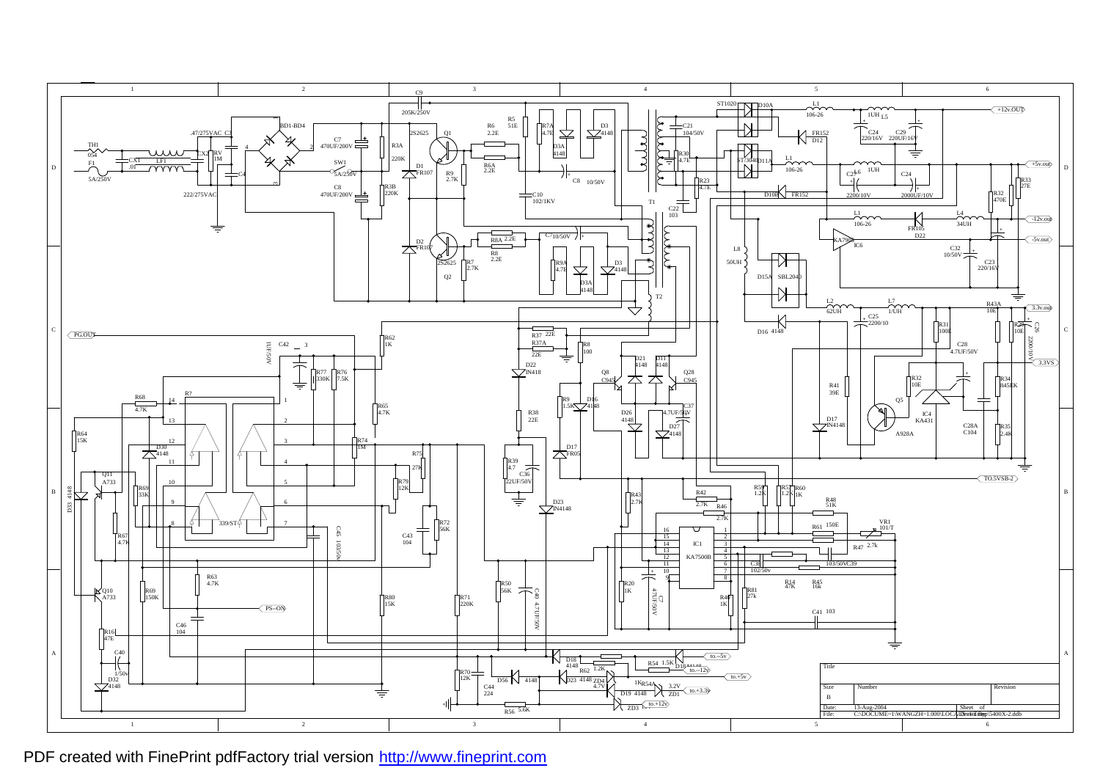

PDF created with FinePrint pdfFactory trial version <http://www.fineprint.com>